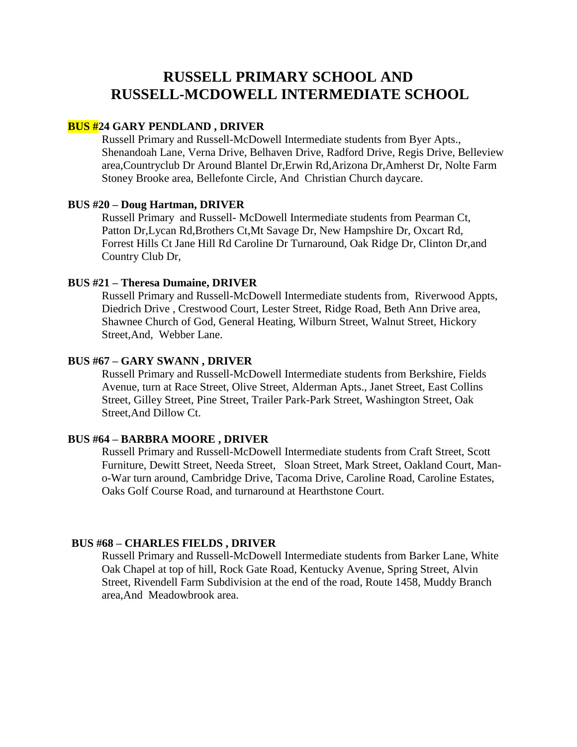# **RUSSELL PRIMARY SCHOOL AND RUSSELL-MCDOWELL INTERMEDIATE SCHOOL**

# **BUS #24 GARY PENDLAND , DRIVER**

Russell Primary and Russell-McDowell Intermediate students from Byer Apts., Shenandoah Lane, Verna Drive, Belhaven Drive, Radford Drive, Regis Drive, Belleview area,Countryclub Dr Around Blantel Dr,Erwin Rd,Arizona Dr,Amherst Dr, Nolte Farm Stoney Brooke area, Bellefonte Circle, And Christian Church daycare.

#### **BUS #20 – Doug Hartman, DRIVER**

Russell Primary and Russell- McDowell Intermediate students from Pearman Ct, Patton Dr,Lycan Rd,Brothers Ct,Mt Savage Dr, New Hampshire Dr, Oxcart Rd, Forrest Hills Ct Jane Hill Rd Caroline Dr Turnaround, Oak Ridge Dr, Clinton Dr,and Country Club Dr,

#### **BUS #21 – Theresa Dumaine, DRIVER**

Russell Primary and Russell-McDowell Intermediate students from, Riverwood Appts, Diedrich Drive , Crestwood Court, Lester Street, Ridge Road, Beth Ann Drive area, Shawnee Church of God, General Heating, Wilburn Street, Walnut Street, Hickory Street,And, Webber Lane.

### **BUS #67 – GARY SWANN , DRIVER**

Russell Primary and Russell-McDowell Intermediate students from Berkshire, Fields Avenue, turn at Race Street, Olive Street, Alderman Apts., Janet Street, East Collins Street, Gilley Street, Pine Street, Trailer Park-Park Street, Washington Street, Oak Street,And Dillow Ct.

### **BUS #64 – BARBRA MOORE , DRIVER**

Russell Primary and Russell-McDowell Intermediate students from Craft Street, Scott Furniture, Dewitt Street, Needa Street, Sloan Street, Mark Street, Oakland Court, Mano-War turn around, Cambridge Drive, Tacoma Drive, Caroline Road, Caroline Estates, Oaks Golf Course Road, and turnaround at Hearthstone Court.

#### **BUS #68 – CHARLES FIELDS , DRIVER**

Russell Primary and Russell-McDowell Intermediate students from Barker Lane, White Oak Chapel at top of hill, Rock Gate Road, Kentucky Avenue, Spring Street, Alvin Street, Rivendell Farm Subdivision at the end of the road, Route 1458, Muddy Branch area,And Meadowbrook area.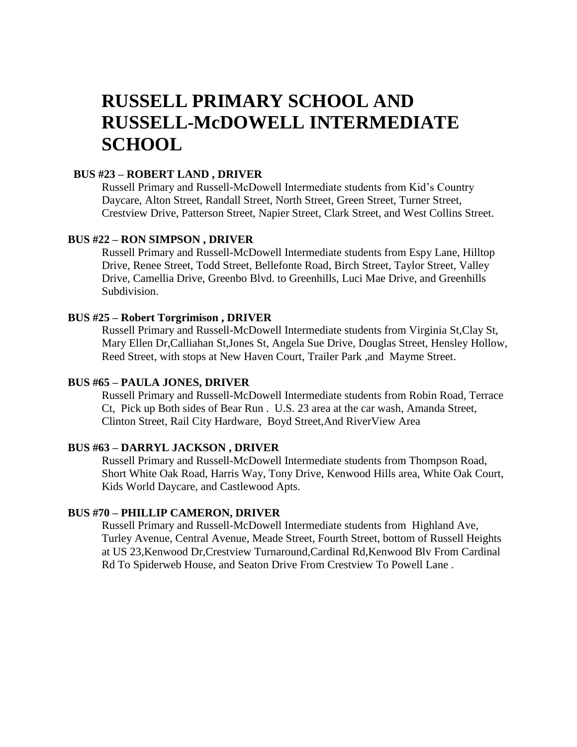# **RUSSELL PRIMARY SCHOOL AND RUSSELL-McDOWELL INTERMEDIATE SCHOOL**

## **BUS #23 – ROBERT LAND , DRIVER**

Russell Primary and Russell-McDowell Intermediate students from Kid's Country Daycare, Alton Street, Randall Street, North Street, Green Street, Turner Street, Crestview Drive, Patterson Street, Napier Street, Clark Street, and West Collins Street.

# **BUS #22 – RON SIMPSON , DRIVER**

Russell Primary and Russell-McDowell Intermediate students from Espy Lane, Hilltop Drive, Renee Street, Todd Street, Bellefonte Road, Birch Street, Taylor Street, Valley Drive, Camellia Drive, Greenbo Blvd. to Greenhills, Luci Mae Drive, and Greenhills Subdivision.

#### **BUS #25 – Robert Torgrimison , DRIVER**

Russell Primary and Russell-McDowell Intermediate students from Virginia St,Clay St, Mary Ellen Dr,Calliahan St,Jones St, Angela Sue Drive, Douglas Street, Hensley Hollow, Reed Street, with stops at New Haven Court, Trailer Park ,and Mayme Street.

#### **BUS #65 – PAULA JONES, DRIVER**

Russell Primary and Russell-McDowell Intermediate students from Robin Road, Terrace Ct, Pick up Both sides of Bear Run . U.S. 23 area at the car wash, Amanda Street, Clinton Street, Rail City Hardware, Boyd Street,And RiverView Area

# **BUS #63 – DARRYL JACKSON , DRIVER**

Russell Primary and Russell-McDowell Intermediate students from Thompson Road, Short White Oak Road, Harris Way, Tony Drive, Kenwood Hills area, White Oak Court, Kids World Daycare, and Castlewood Apts.

## **BUS #70 – PHILLIP CAMERON, DRIVER**

Russell Primary and Russell-McDowell Intermediate students from Highland Ave, Turley Avenue, Central Avenue, Meade Street, Fourth Street, bottom of Russell Heights at US 23,Kenwood Dr,Crestview Turnaround,Cardinal Rd,Kenwood Blv From Cardinal Rd To Spiderweb House, and Seaton Drive From Crestview To Powell Lane .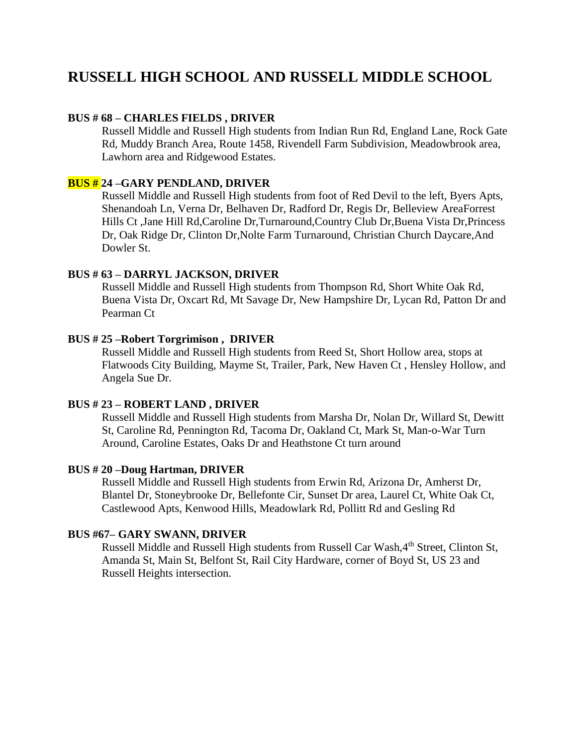# **RUSSELL HIGH SCHOOL AND RUSSELL MIDDLE SCHOOL**

# **BUS # 68 – CHARLES FIELDS , DRIVER**

Russell Middle and Russell High students from Indian Run Rd, England Lane, Rock Gate Rd, Muddy Branch Area, Route 1458, Rivendell Farm Subdivision, Meadowbrook area, Lawhorn area and Ridgewood Estates.

# **BUS # 24 –GARY PENDLAND, DRIVER**

Russell Middle and Russell High students from foot of Red Devil to the left, Byers Apts, Shenandoah Ln, Verna Dr, Belhaven Dr, Radford Dr, Regis Dr, Belleview AreaForrest Hills Ct ,Jane Hill Rd,Caroline Dr,Turnaround,Country Club Dr,Buena Vista Dr,Princess Dr, Oak Ridge Dr, Clinton Dr,Nolte Farm Turnaround, Christian Church Daycare,And Dowler St.

## **BUS # 63 – DARRYL JACKSON, DRIVER**

Russell Middle and Russell High students from Thompson Rd, Short White Oak Rd, Buena Vista Dr, Oxcart Rd, Mt Savage Dr, New Hampshire Dr, Lycan Rd, Patton Dr and Pearman Ct

### **BUS # 25 –Robert Torgrimison , DRIVER**

Russell Middle and Russell High students from Reed St, Short Hollow area, stops at Flatwoods City Building, Mayme St, Trailer, Park, New Haven Ct , Hensley Hollow, and Angela Sue Dr.

# **BUS # 23 – ROBERT LAND , DRIVER**

Russell Middle and Russell High students from Marsha Dr, Nolan Dr, Willard St, Dewitt St, Caroline Rd, Pennington Rd, Tacoma Dr, Oakland Ct, Mark St, Man-o-War Turn Around, Caroline Estates, Oaks Dr and Heathstone Ct turn around

### **BUS # 20 –Doug Hartman, DRIVER**

Russell Middle and Russell High students from Erwin Rd, Arizona Dr, Amherst Dr, Blantel Dr, Stoneybrooke Dr, Bellefonte Cir, Sunset Dr area, Laurel Ct, White Oak Ct, Castlewood Apts, Kenwood Hills, Meadowlark Rd, Pollitt Rd and Gesling Rd

# **BUS #67– GARY SWANN, DRIVER**

Russell Middle and Russell High students from Russell Car Wash, 4<sup>th</sup> Street, Clinton St, Amanda St, Main St, Belfont St, Rail City Hardware, corner of Boyd St, US 23 and Russell Heights intersection.